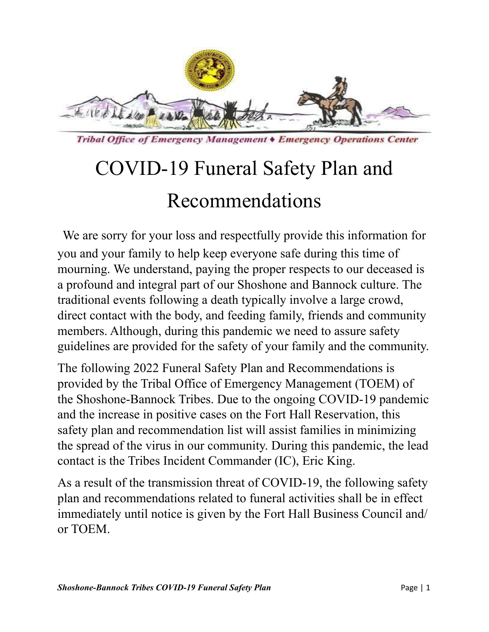

Tribal Office of Emergency Management • Emergency Operations Center

# COVID-19 Funeral Safety Plan and Recommendations

We are sorry for your loss and respectfully provide this information for you and your family to help keep everyone safe during this time of mourning. We understand, paying the proper respects to our deceased is a profound and integral part of our Shoshone and Bannock culture. The traditional events following a death typically involve a large crowd, direct contact with the body, and feeding family, friends and community members. Although, during this pandemic we need to assure safety guidelines are provided for the safety of your family and the community.

The following 2022 Funeral Safety Plan and Recommendations is provided by the Tribal Office of Emergency Management (TOEM) of the Shoshone-Bannock Tribes. Due to the ongoing COVID-19 pandemic and the increase in positive cases on the Fort Hall Reservation, this safety plan and recommendation list will assist families in minimizing the spread of the virus in our community. During this pandemic, the lead contact is the Tribes Incident Commander (IC), Eric King.

As a result of the transmission threat of COVID-19, the following safety plan and recommendations related to funeral activities shall be in effect immediately until notice is given by the Fort Hall Business Council and/ or TOEM.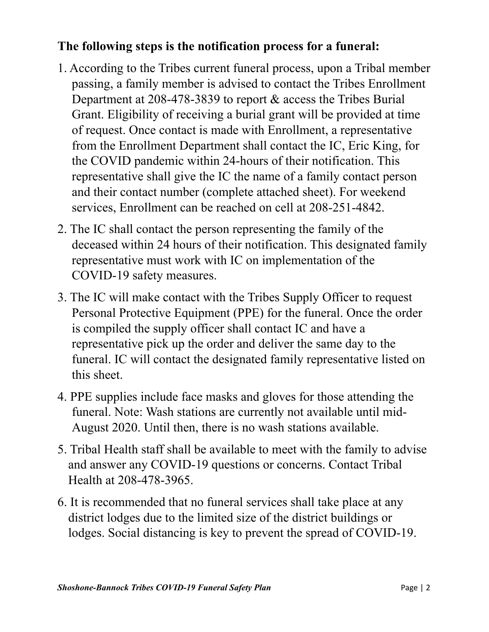#### **The following steps is the notification process for a funeral:**

- 1. According to the Tribes current funeral process, upon a Tribal member passing, a family member is advised to contact the Tribes Enrollment Department at 208-478-3839 to report & access the Tribes Burial Grant. Eligibility of receiving a burial grant will be provided at time of request. Once contact is made with Enrollment, a representative from the Enrollment Department shall contact the IC, Eric King, for the COVID pandemic within 24-hours of their notification. This representative shall give the IC the name of a family contact person and their contact number (complete attached sheet). For weekend services, Enrollment can be reached on cell at 208-251-4842.
- 2. The IC shall contact the person representing the family of the deceased within 24 hours of their notification. This designated family representative must work with IC on implementation of the COVID-19 safety measures.
- 3. The IC will make contact with the Tribes Supply Officer to request Personal Protective Equipment (PPE) for the funeral. Once the order is compiled the supply officer shall contact IC and have a representative pick up the order and deliver the same day to the funeral. IC will contact the designated family representative listed on this sheet.
- 4. PPE supplies include face masks and gloves for those attending the funeral. Note: Wash stations are currently not available until mid-August 2020. Until then, there is no wash stations available.
- 5. Tribal Health staff shall be available to meet with the family to advise and answer any COVID-19 questions or concerns. Contact Tribal Health at 208-478-3965.
- 6. It is recommended that no funeral services shall take place at any district lodges due to the limited size of the district buildings or lodges. Social distancing is key to prevent the spread of COVID-19.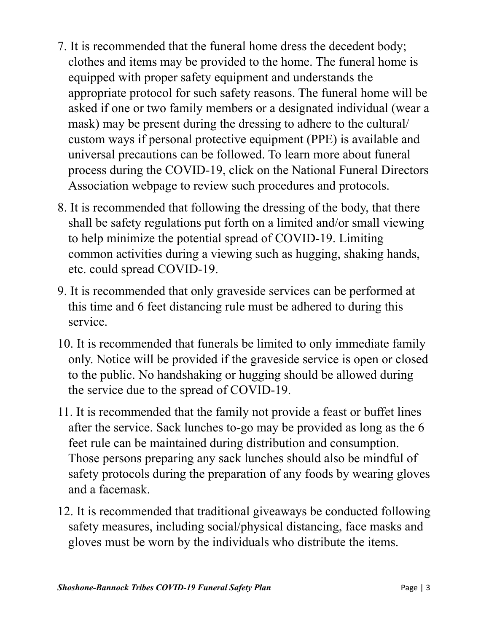- 7. It is recommended that the funeral home dress the decedent body; clothes and items may be provided to the home. The funeral home is equipped with proper safety equipment and understands the appropriate protocol for such safety reasons. The funeral home will be asked if one or two family members or a designated individual (wear a mask) may be present during the dressing to adhere to the cultural/ custom ways if personal protective equipment (PPE) is available and universal precautions can be followed. To learn more about funeral process during the COVID-19, click on the National Funeral Directors Association webpage to review such procedures and protocols.
- 8. It is recommended that following the dressing of the body, that there shall be safety regulations put forth on a limited and/or small viewing to help minimize the potential spread of COVID-19. Limiting common activities during a viewing such as hugging, shaking hands, etc. could spread COVID-19.
- 9. It is recommended that only graveside services can be performed at this time and 6 feet distancing rule must be adhered to during this service.
- 10. It is recommended that funerals be limited to only immediate family only. Notice will be provided if the graveside service is open or closed to the public. No handshaking or hugging should be allowed during the service due to the spread of COVID-19.
- 11. It is recommended that the family not provide a feast or buffet lines after the service. Sack lunches to-go may be provided as long as the 6 feet rule can be maintained during distribution and consumption. Those persons preparing any sack lunches should also be mindful of safety protocols during the preparation of any foods by wearing gloves and a facemask.
- 12. It is recommended that traditional giveaways be conducted following safety measures, including social/physical distancing, face masks and gloves must be worn by the individuals who distribute the items.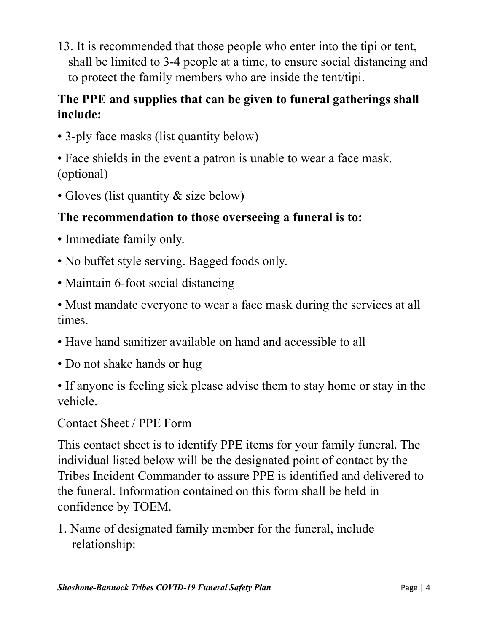13. It is recommended that those people who enter into the tipi or tent, shall be limited to 3-4 people at a time, to ensure social distancing and to protect the family members who are inside the tent/tipi.

## **The PPE and supplies that can be given to funeral gatherings shall include:**

• 3-ply face masks (list quantity below)

• Face shields in the event a patron is unable to wear a face mask. (optional)

• Gloves (list quantity & size below)

## **The recommendation to those overseeing a funeral is to:**

- Immediate family only.
- No buffet style serving. Bagged foods only.
- Maintain 6-foot social distancing

• Must mandate everyone to wear a face mask during the services at all times.

- Have hand sanitizer available on hand and accessible to all
- Do not shake hands or hug

• If anyone is feeling sick please advise them to stay home or stay in the vehicle.

Contact Sheet / PPE Form

This contact sheet is to identify PPE items for your family funeral. The individual listed below will be the designated point of contact by the Tribes Incident Commander to assure PPE is identified and delivered to the funeral. Information contained on this form shall be held in confidence by TOEM.

1. Name of designated family member for the funeral, include relationship: